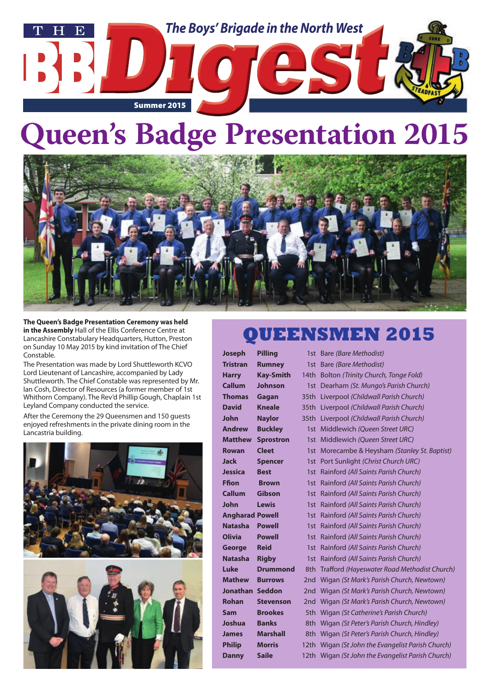

# **Queen's Badge Presentation 2015**



**The Queen's Badge Presentation Ceremony was held in the Assembly** Hall of the Ellis Conference Centre at Lancashire Constabulary Headquarters, Hutton, Preston on Sunday 10 May 2015 by kind invitation of The Chief Constable.

The Presentation was made by Lord Shuttleworth KCVO Lord Lieutenant of Lancashire, accompanied by Lady Shuttleworth. The Chief Constable was represented by Mr. Ian Cosh, Director of Resources (a former member of 1st Whithorn Company). The Rev'd Phillip Gough, Chaplain 1st Leyland Company conducted the service.

After the Ceremony the 29 Queensmen and 150 guests enjoyed refreshments in the private dining room in the Lancastria building.





### **QUEENSMEN 2015**

| Joseph                 | <b>Pilling</b>   | 1st Bare (Bare Methodist)                         |
|------------------------|------------------|---------------------------------------------------|
| <b>Tristran</b>        | <b>Rumney</b>    | 1st Bare (Bare Methodist)                         |
| <b>Harry</b>           | <b>Kay-Smith</b> | 14th Bolton (Trinity Church, Tonge Fold)          |
| <b>Callum</b>          | <b>Johnson</b>   | 1st Dearham (St. Mungo's Parish Church)           |
| Thomas                 | Gagan            | 35th Liverpool (Childwall Parish Church)          |
| <b>David</b>           | <b>Kneale</b>    | 35th Liverpool (Childwall Parish Church)          |
| John                   | <b>Naylor</b>    | 35th Liverpool (Childwall Parish Church)          |
| <b>Andrew</b>          | <b>Buckley</b>   | 1st Middlewich (Queen Street URC)                 |
| <b>Matthew</b>         | <b>Sprostron</b> | 1st Middlewich (Queen Street URC)                 |
| Rowan                  | <b>Cleet</b>     | 1st Morecambe & Heysham (Stanley St. Baptist)     |
| Jack                   | <b>Spencer</b>   | 1st Port Sunlight (Christ Church URC)             |
| <b>Jessica</b>         | <b>Best</b>      | 1st Rainford (All Saints Parish Church)           |
| Ffion                  | <b>Brown</b>     | 1st Rainford (All Saints Parish Church)           |
| <b>Callum</b>          | Gibson           | 1st Rainford (All Saints Parish Church)           |
| John                   | <b>Lewis</b>     | 1st Rainford (All Saints Parish Church)           |
| <b>Angharad Powell</b> |                  | 1st Rainford (All Saints Parish Church)           |
| <b>Natasha</b>         | <b>Powell</b>    | 1st Rainford (All Saints Parish Church)           |
| <b>Olivia</b>          | <b>Powell</b>    | 1st Rainford (All Saints Parish Church)           |
| George                 | <b>Reid</b>      | 1st Rainford (All Saints Parish Church)           |
| Natasha                | <b>Rigby</b>     | 1st Rainford (All Saints Parish Church)           |
| Luke                   | Drummond         | 8th Trafford (Hayeswater Road Methodist Church)   |
| <b>Mathew</b>          | <b>Burrows</b>   | 2nd Wigan (St Mark's Parish Church, Newtown)      |
| Jonathan Seddon        |                  | 2nd Wigan (St Mark's Parish Church, Newtown)      |
| Rohan                  | <b>Stevenson</b> | 2nd Wigan (St Mark's Parish Church, Newtown)      |
| Sam                    | <b>Brookes</b>   | 5th Wigan (St Catherine's Parish Church)          |
| Joshua                 | <b>Banks</b>     | 8th Wigan (St Peter's Parish Church, Hindley)     |
| James                  | <b>Marshall</b>  | 8th Wigan (St Peter's Parish Church, Hindley)     |
| <b>Philip</b>          | <b>Morris</b>    | 12th Wigan (St John the Evangelist Parish Church) |
| <b>Danny</b>           | <b>Saile</b>     | 12th Wigan (St John the Evangelist Parish Church) |
|                        |                  |                                                   |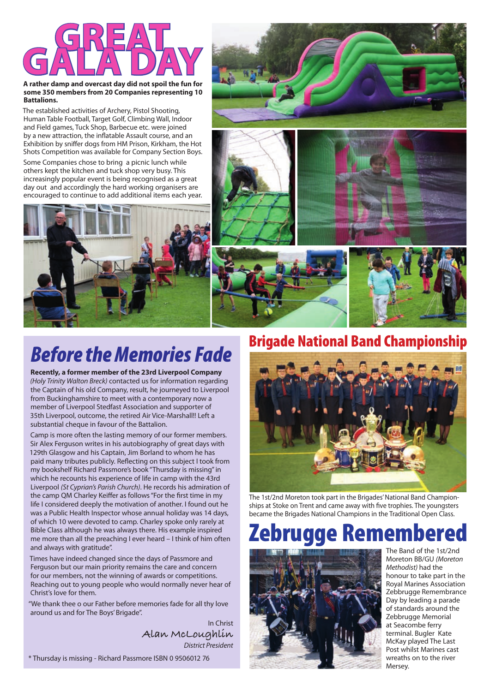

#### **A rather damp and overcast day did not spoil the fun for some 350 members from 20 Companies representing 10 Battalions.**

The established activities of Archery, Pistol Shooting, Human Table Football, Target Golf, Climbing Wall, Indoor and Field games, Tuck Shop, Barbecue etc. were joined by a new attraction, the inflatable Assault course, and an Exhibition by sniffer dogs from HM Prison, Kirkham, the Hot Shots Competition was available for Company Section Boys.

Some Companies chose to bring a picnic lunch while others kept the kitchen and tuck shop very busy. This increasingly popular event is being recognised as a great day out and accordingly the hard working organisers are encouraged to continue to add additional items each year.









# *Before the Memories Fade*

**Recently, a former member of the 23rd Liverpool Company** *(Holy Trinity Walton Breck)* contacted us for information regarding the Captain of his old Company, result, he journeyed to Liverpool from Buckinghamshire to meet with a contemporary now a member of Liverpool Stedfast Association and supporter of 35th Liverpool, outcome, the retired Air Vice-Marshall!! Left a substantial cheque in favour of the Battalion.

Camp is more often the lasting memory of our former members. Sir Alex Ferguson writes in his autobiography of great days with 129th Glasgow and his Captain, Jim Borland to whom he has paid many tributes publicly. Reflecting on this subject I took from my bookshelf Richard Passmore's book "Thursday is missing" in which he recounts his experience of life in camp with the 43rd Liverpool *(St Cyprian's Parish Church)*. He records his admiration of the camp QM Charley Keiffer as follows "For the first time in my life I considered deeply the motivation of another. I found out he was a Public Health Inspector whose annual holiday was 14 days, of which 10 were devoted to camp. Charley spoke only rarely at Bible Class although he was always there. His example inspired me more than all the preaching I ever heard – I think of him often and always with gratitude".

Times have indeed changed since the days of Passmore and Ferguson but our main priority remains the care and concern for our members, not the winning of awards or competitions. Reaching out to young people who would normally never hear of Christ's love for them.

"We thank thee o our Father before memories fade for all thy love around us and for The Boys' Brigade".

> In Christ **Alan McLoughlin**  *District President*

\* Thursday is missing - Richard Passmore ISBN 0 9506012 76

### Brigade National Band Championship



The 1st/2nd Moreton took part in the Brigades' National Band Championships at Stoke on Trent and came away with five trophies. The youngsters became the Brigades National Champions in the Traditional Open Class.

# Zebrugge Rememb



The Band of the 1st/2nd Moreton BB/GU *(Moreton Methodist)* had the honour to take part in the Royal Marines Association Zebbrugge Remembrance Day by leading a parade of standards around the Zebbrugge Memorial at Seacombe ferry terminal. Bugler Kate McKay played The Last Post whilst Marines cast wreaths on to the river Mersey.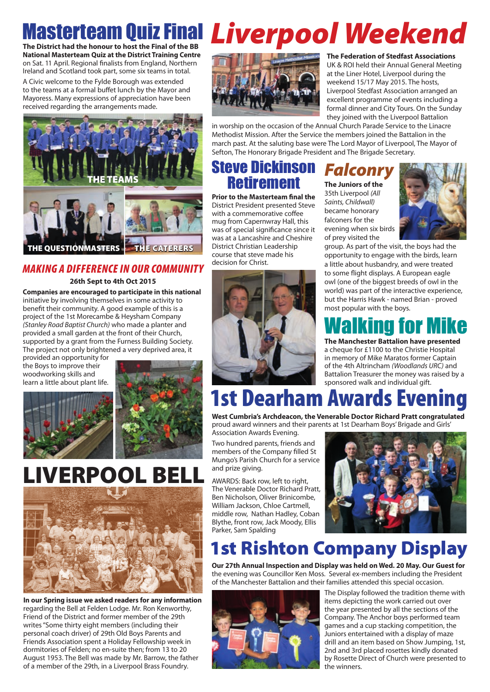### **The District had the honour to host the Final of the BB Masterteam Quiz Final Liverpool Weekend**

**National Masterteam Quiz at the District Training Centre**  on Sat. 11 April. Regional finalists from England, Northern Ireland and Scotland took part, some six teams in total.

A Civic welcome to the Fylde Borough was extended to the teams at a formal buffet lunch by the Mayor and Mayoress. Many expressions of appreciation have been received regarding the arrangements made.



### *MAKING A DIFFERENCE IN OUR COMMUNITY*

#### **26th Sept to 4th Oct 2015**

**Companies are encouraged to participate in this national** initiative by involving themselves in some activity to benefit their community. A good example of this is a project of the 1st Morecambe & Heysham Company *(Stanley Road Baptist Church)* who made a planter and provided a small garden at the front of their Church, supported by a grant from the Furness Building Society. The project not only brightened a very deprived area, it

provided an opportunity for the Boys to improve their woodworking skills and learn a little about plant life.



# LIVERPOOL BELL



**In our Spring issue we asked readers for any information** regarding the Bell at Felden Lodge. Mr. Ron Kenworthy, Friend of the District and former member of the 29th writes "Some thirty eight members (including their personal coach driver) of 29th Old Boys Parents and Friends Association spent a Holiday Fellowship week in dormitories of Felden; no en-suite then; from 13 to 20 August 1953. The Bell was made by Mr. Barrow, the father of a member of the 29th, in a Liverpool Brass Foundry.



#### **The Federation of Stedfast Associations**  UK & ROI held their Annual General Meeting at the Liner Hotel, Liverpool during the weekend 15/17 May 2015. The hosts, Liverpool Stedfast Association arranged an excellent programme of events including a formal dinner and City Tours. On the Sunday they joined with the Liverpool Battalion

in worship on the occasion of the Annual Church Parade Service to the Linacre Methodist Mission. After the Service the members joined the Battalion in the march past. At the saluting base were The Lord Mayor of Liverpool, The Mayor of Sefton, The Honorary Brigade President and The Brigade Secretary.

### Steve Dickinson **Retirement**

**Prior to the Masterteam final the** District President presented Steve with a commemorative coffee mug from Capernwray Hall, this was of special significance since it was at a Lancashire and Cheshire District Christian Leadership course that steve made his decision for Christ.

### *Falconry* **The Juniors of the**

35th Liverpool *(All Saints, Childwall)*  became honorary falconers for the evening when six birds of prey visited the



group. As part of the visit, the boys had the opportunity to engage with the birds, learn a little about husbandry, and were treated to some flight displays. A European eagle owl (one of the biggest breeds of owl in the world) was part of the interactive experience, but the Harris Hawk - named Brian - proved most popular with the boys.

# Walking for Mike

**The Manchester Battalion have presented**  a cheque for £1100 to the Christie Hospital in memory of Mike Maratos former Captain of the 4th Altrincham *(Woodlands URC)* and Battalion Treasurer the money was raised by a sponsored walk and individual gift.

# 1st Dearham Awards Evening

**West Cumbria's Archdeacon, the Venerable Doctor Richard Pratt congratulated**  proud award winners and their parents at 1st Dearham Boys' Brigade and Girls'

Association Awards Evening. Two hundred parents, friends and members of the Company filled St Mungo's Parish Church for a service and prize giving.

AWARDS: Back row, left to right, The Venerable Doctor Richard Pratt, Ben Nicholson, Oliver Brinicombe, William Jackson, Chloe Cartmell, middle row, Nathan Hadley, Coban Blythe, front row, Jack Moody, Ellis Parker, Sam Spalding



# 1st Rishton Company Display

**Our 27th Annual Inspection and Display was held on Wed. 20 May. Our Guest for**  the evening was Councillor Ken Moss. Several ex-members including the President of the Manchester Battalion and their families attended this special occasion.



The Display followed the tradition theme with items depicting the work carried out over the year presented by all the sections of the Company. The Anchor boys performed team games and a cup stacking competition, the Juniors entertained with a display of maze drill and an item based on Show Jumping, 1st, 2nd and 3rd placed rosettes kindly donated by Rosette Direct of Church were presented to the winners.